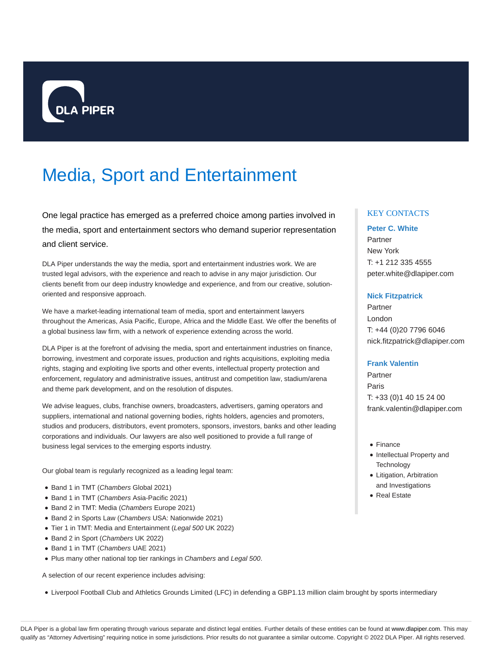

# Media, Sport and Entertainment

One legal practice has emerged as a preferred choice among parties involved in the media, sport and entertainment sectors who demand superior representation and client service.

DLA Piper understands the way the media, sport and entertainment industries work. We are trusted legal advisors, with the experience and reach to advise in any major jurisdiction. Our clients benefit from our deep industry knowledge and experience, and from our creative, solutionoriented and responsive approach.

We have a market-leading international team of media, sport and entertainment lawyers throughout the Americas, Asia Pacific, Europe, Africa and the Middle East. We offer the benefits of a global business law firm, with a network of experience extending across the world.

DLA Piper is at the forefront of advising the media, sport and entertainment industries on finance, borrowing, investment and corporate issues, production and rights acquisitions, exploiting media rights, staging and exploiting live sports and other events, intellectual property protection and enforcement, regulatory and administrative issues, antitrust and competition law, stadium/arena and theme park development, and on the resolution of disputes.

We advise leagues, clubs, franchise owners, broadcasters, advertisers, gaming operators and suppliers, international and national governing bodies, rights holders, agencies and promoters, studios and producers, distributors, event promoters, sponsors, investors, banks and other leading corporations and individuals. Our lawyers are also well positioned to provide a full range of business legal services to the emerging esports industry.

Our global team is regularly recognized as a leading legal team:

- Band 1 in TMT (Chambers Global 2021)
- Band 1 in TMT (Chambers Asia-Pacific 2021)
- Band 2 in TMT: Media (Chambers Europe 2021)
- Band 2 in Sports Law (Chambers USA: Nationwide 2021)
- Tier 1 in TMT: Media and Entertainment (Legal 500 UK 2022)
- Band 2 in Sport (Chambers UK 2022)
- Band 1 in TMT (Chambers UAE 2021)
- Plus many other national top tier rankings in Chambers and Legal 500.

A selection of our recent experience includes advising:

Liverpool Football Club and Athletics Grounds Limited (LFC) in defending a GBP1.13 million claim brought by sports intermediary

# KEY CONTACTS

## **Peter C. White**

Partner New York T: +1 212 335 4555 peter.white@dlapiper.com

## **Nick Fitzpatrick**

Partner London T: +44 (0)20 7796 6046 nick.fitzpatrick@dlapiper.com

## **Frank Valentin**

Partner Paris T: +33 (0)1 40 15 24 00 frank.valentin@dlapiper.com

- Finance
- Intellectual Property and **Technology**
- Litigation, Arbitration and Investigations
- Real Estate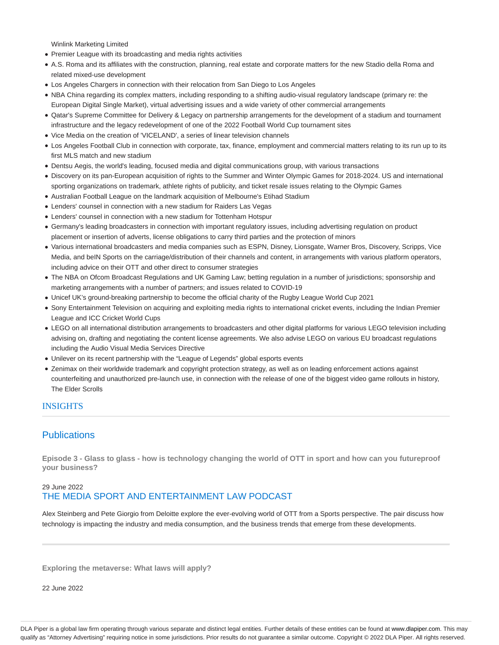Winlink Marketing Limited

- Premier League with its broadcasting and media rights activities
- A.S. Roma and its affiliates with the construction, planning, real estate and corporate matters for the new Stadio della Roma and related mixed-use development
- Los Angeles Chargers in connection with their relocation from San Diego to Los Angeles
- NBA China regarding its complex matters, including responding to a shifting audio-visual regulatory landscape (primary re: the European Digital Single Market), virtual advertising issues and a wide variety of other commercial arrangements
- Qatar's Supreme Committee for Delivery & Legacy on partnership arrangements for the development of a stadium and tournament infrastructure and the legacy redevelopment of one of the 2022 Football World Cup tournament sites
- Vice Media on the creation of 'VICELAND', a series of linear television channels
- Los Angeles Football Club in connection with corporate, tax, finance, employment and commercial matters relating to its run up to its first MLS match and new stadium
- Dentsu Aegis, the world's leading, focused media and digital communications group, with various transactions
- Discovery on its pan-European acquisition of rights to the Summer and Winter Olympic Games for 2018-2024. US and international sporting organizations on trademark, athlete rights of publicity, and ticket resale issues relating to the Olympic Games
- Australian Football League on the landmark acquisition of Melbourne's Etihad Stadium
- Lenders' counsel in connection with a new stadium for Raiders Las Vegas
- Lenders' counsel in connection with a new stadium for Tottenham Hotspur
- Germany's leading broadcasters in connection with important regulatory issues, including advertising regulation on product placement or insertion of adverts, license obligations to carry third parties and the protection of minors
- Various international broadcasters and media companies such as ESPN, Disney, Lionsgate, Warner Bros, Discovery, Scripps, Vice Media, and beIN Sports on the carriage/distribution of their channels and content, in arrangements with various platform operators, including advice on their OTT and other direct to consumer strategies
- The NBA on Ofcom Broadcast Regulations and UK Gaming Law; betting regulation in a number of jurisdictions; sponsorship and marketing arrangements with a number of partners; and issues related to COVID-19
- Unicef UK's ground-breaking partnership to become the official charity of the Rugby League World Cup 2021
- Sony Entertainment Television on acquiring and exploiting media rights to international cricket events, including the Indian Premier League and ICC Cricket World Cups
- LEGO on all international distribution arrangements to broadcasters and other digital platforms for various LEGO television including advising on, drafting and negotiating the content license agreements. We also advise LEGO on various EU broadcast regulations including the Audio Visual Media Services Directive
- Unilever on its recent partnership with the "League of Legends" global esports events
- Zenimax on their worldwide trademark and copyright protection strategy, as well as on leading enforcement actions against counterfeiting and unauthorized pre-launch use, in connection with the release of one of the biggest video game rollouts in history, The Elder Scrolls

#### INSIGHTS

# **Publications**

**Episode 3 - Glass to glass - how is technology changing the world of OTT in sport and how can you futureproof your business?**

# 29 June 2022 THE MEDIA SPORT AND ENTERTAINMENT LAW PODCAST

Alex Steinberg and Pete Giorgio from Deloitte explore the ever-evolving world of OTT from a Sports perspective. The pair discuss how technology is impacting the industry and media consumption, and the business trends that emerge from these developments.

**Exploring the metaverse: What laws will apply?**

22 June 2022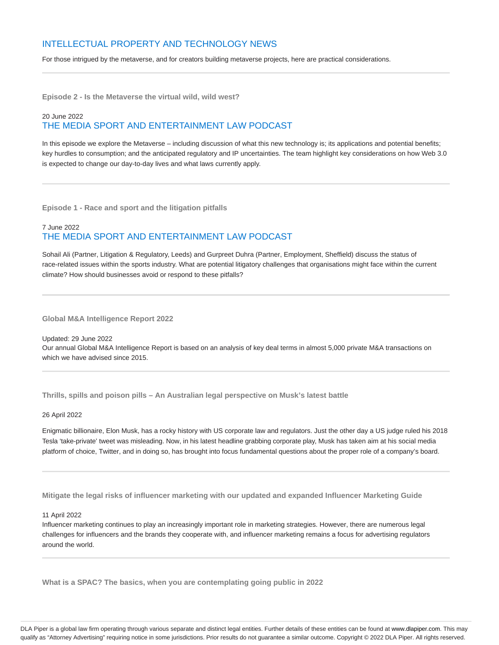# INTELLECTUAL PROPERTY AND TECHNOLOGY NEWS

For those intrigued by the metaverse, and for creators building metaverse projects, here are practical considerations.

**Episode 2 - Is the Metaverse the virtual wild, wild west?**

# 20 June 2022 THE MEDIA SPORT AND ENTERTAINMENT LAW PODCAST

In this episode we explore the Metaverse – including discussion of what this new technology is; its applications and potential benefits; key hurdles to consumption; and the anticipated regulatory and IP uncertainties. The team highlight key considerations on how Web 3.0 is expected to change our day-to-day lives and what laws currently apply.

**Episode 1 - Race and sport and the litigation pitfalls**

# 7 June 2022 THE MEDIA SPORT AND ENTERTAINMENT LAW PODCAST

Sohail Ali (Partner, Litigation & Regulatory, Leeds) and Gurpreet Duhra (Partner, Employment, Sheffield) discuss the status of race-related issues within the sports industry. What are potential litigatory challenges that organisations might face within the current climate? How should businesses avoid or respond to these pitfalls?

**Global M&A Intelligence Report 2022**

Updated: 29 June 2022 Our annual Global M&A Intelligence Report is based on an analysis of key deal terms in almost 5,000 private M&A transactions on which we have advised since 2015.

**Thrills, spills and poison pills – An Australian legal perspective on Musk's latest battle**

## 26 April 2022

Enigmatic billionaire, Elon Musk, has a rocky history with US corporate law and regulators. Just the other day a US judge ruled his 2018 Tesla 'take-private' tweet was misleading. Now, in his latest headline grabbing corporate play, Musk has taken aim at his social media platform of choice, Twitter, and in doing so, has brought into focus fundamental questions about the proper role of a company's board.

**Mitigate the legal risks of influencer marketing with our updated and expanded Influencer Marketing Guide**

#### 11 April 2022

Influencer marketing continues to play an increasingly important role in marketing strategies. However, there are numerous legal challenges for influencers and the brands they cooperate with, and influencer marketing remains a focus for advertising regulators around the world.

**What is a SPAC? The basics, when you are contemplating going public in 2022**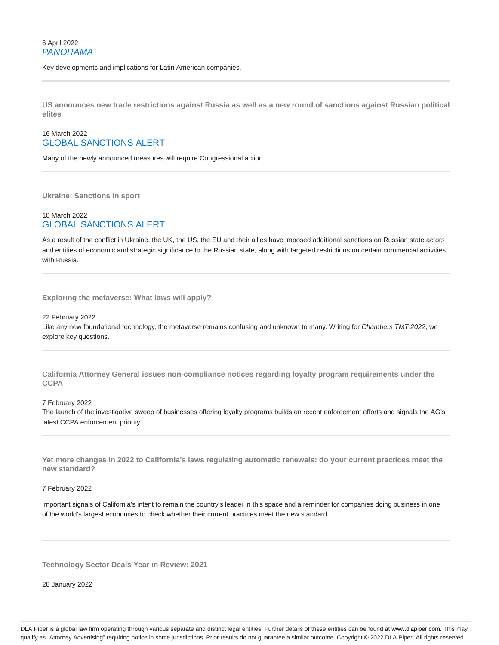Key developments and implications for Latin American companies.

**US announces new trade restrictions against Russia as well as a new round of sanctions against Russian political elites**

# 16 March 2022 GLOBAL SANCTIONS ALERT

Many of the newly announced measures will require Congressional action.

**Ukraine: Sanctions in sport**

# 10 March 2022 GLOBAL SANCTIONS ALERT

As a result of the conflict in Ukraine, the UK, the US, the EU and their allies have imposed additional sanctions on Russian state actors and entities of economic and strategic significance to the Russian state, along with targeted restrictions on certain commercial activities with Russia.

**Exploring the metaverse: What laws will apply?**

### 22 February 2022

Like any new foundational technology, the metaverse remains confusing and unknown to many. Writing for Chambers TMT 2022, we explore key questions.

**California Attorney General issues non-compliance notices regarding loyalty program requirements under the CCPA**

## 7 February 2022

The launch of the investigative sweep of businesses offering loyalty programs builds on recent enforcement efforts and signals the AG's latest CCPA enforcement priority.

**Yet more changes in 2022 to California's laws regulating automatic renewals: do your current practices meet the new standard?**

#### 7 February 2022

Important signals of California's intent to remain the country's leader in this space and a reminder for companies doing business in one of the world's largest economies to check whether their current practices meet the new standard.

**Technology Sector Deals Year in Review: 2021**

28 January 2022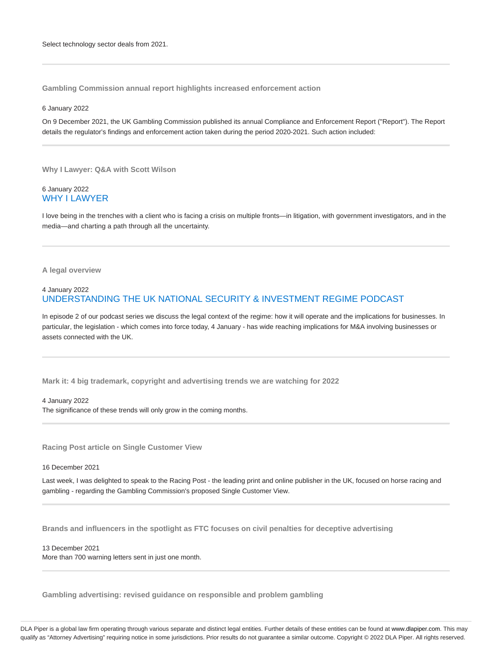**Gambling Commission annual report highlights increased enforcement action**

#### 6 January 2022

On 9 December 2021, the UK Gambling Commission published its annual Compliance and Enforcement Report ("Report"). The Report details the regulator's findings and enforcement action taken during the period 2020-2021. Such action included:

**Why I Lawyer: Q&A with Scott Wilson**

## 6 January 2022 WHY I LAWYER

I love being in the trenches with a client who is facing a crisis on multiple fronts—in litigation, with government investigators, and in the media—and charting a path through all the uncertainty.

#### **A legal overview**

# 4 January 2022 UNDERSTANDING THE UK NATIONAL SECURITY & INVESTMENT REGIME PODCAST

In episode 2 of our podcast series we discuss the legal context of the regime: how it will operate and the implications for businesses. In particular, the legislation - which comes into force today, 4 January - has wide reaching implications for M&A involving businesses or assets connected with the UK.

**Mark it: 4 big trademark, copyright and advertising trends we are watching for 2022**

4 January 2022 The significance of these trends will only grow in the coming months.

**Racing Post article on Single Customer View**

16 December 2021

Last week, I was delighted to speak to the Racing Post - the leading print and online publisher in the UK, focused on horse racing and gambling - regarding the Gambling Commission's proposed Single Customer View.

**Brands and influencers in the spotlight as FTC focuses on civil penalties for deceptive advertising**

13 December 2021 More than 700 warning letters sent in just one month.

**Gambling advertising: revised guidance on responsible and problem gambling**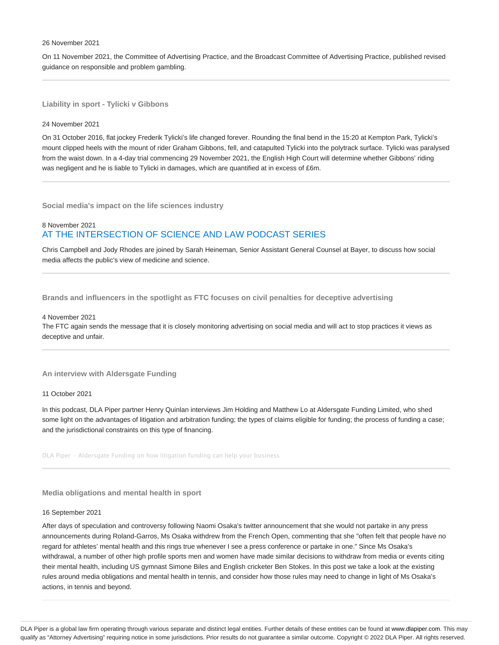#### 26 November 2021

On 11 November 2021, the Committee of Advertising Practice, and the Broadcast Committee of Advertising Practice, published revised guidance on responsible and problem gambling.

**Liability in sport - Tylicki v Gibbons**

#### 24 November 2021

On 31 October 2016, flat jockey Frederik Tylicki's life changed forever. Rounding the final bend in the 15:20 at Kempton Park, Tylicki's mount clipped heels with the mount of rider Graham Gibbons, fell, and catapulted Tylicki into the polytrack surface. Tylicki was paralysed from the waist down. In a 4-day trial commencing 29 November 2021, the English High Court will determine whether Gibbons' riding was negligent and he is liable to Tylicki in damages, which are quantified at in excess of £6m.

**Social media's impact on the life sciences industry**

## 8 November 2021 AT THE INTERSECTION OF SCIENCE AND LAW PODCAST SERIES

Chris Campbell and Jody Rhodes are joined by Sarah Heineman, Senior Assistant General Counsel at Bayer, to discuss how social media affects the public's view of medicine and science.

**Brands and influencers in the spotlight as FTC focuses on civil penalties for deceptive advertising**

#### 4 November 2021

The FTC again sends the message that it is closely monitoring advertising on social media and will act to stop practices it views as deceptive and unfair.

#### **An interview with Aldersgate Funding**

11 October 2021

In this podcast, DLA Piper partner Henry Quinlan interviews Jim Holding and Matthew Lo at Aldersgate Funding Limited, who shed some light on the advantages of litigation and arbitration funding; the types of claims eligible for funding; the process of funding a case; and the jurisdictional constraints on this type of financing.

DLA Piper · Aldersgate Funding on how litigation funding can help your business

## **Media obligations and mental health in sport**

#### 16 September 2021

After days of speculation and controversy following Naomi Osaka's twitter announcement that she would not partake in any press announcements during Roland-Garros, Ms Osaka withdrew from the French Open, commenting that she "often felt that people have no regard for athletes' mental health and this rings true whenever I see a press conference or partake in one." Since Ms Osaka's withdrawal, a number of other high profile sports men and women have made similar decisions to withdraw from media or events citing their mental health, including US gymnast Simone Biles and English cricketer Ben Stokes. In this post we take a look at the existing rules around media obligations and mental health in tennis, and consider how those rules may need to change in light of Ms Osaka's actions, in tennis and beyond.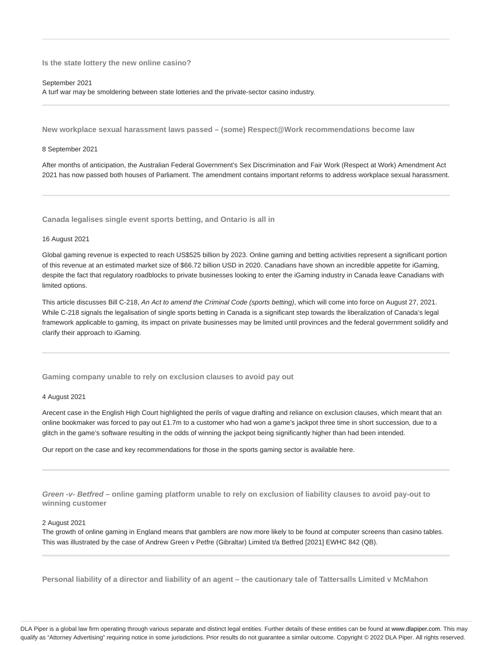**Is the state lottery the new online casino?**

#### September 2021

A turf war may be smoldering between state lotteries and the private-sector casino industry.

**New workplace sexual harassment laws passed – (some) Respect@Work recommendations become law**

## 8 September 2021

After months of anticipation, the Australian Federal Government's Sex Discrimination and Fair Work (Respect at Work) Amendment Act 2021 has now passed both houses of Parliament. The amendment contains important reforms to address workplace sexual harassment.

**Canada legalises single event sports betting, and Ontario is all in**

#### 16 August 2021

Global gaming revenue is expected to reach US\$525 billion by 2023. Online gaming and betting activities represent a significant portion of this revenue at an estimated market size of \$66.72 billion USD in 2020. Canadians have shown an incredible appetite for iGaming, despite the fact that regulatory roadblocks to private businesses looking to enter the iGaming industry in Canada leave Canadians with limited options.

This article discusses Bill C-218, An Act to amend the Criminal Code (sports betting), which will come into force on August 27, 2021. While C-218 signals the legalisation of single sports betting in Canada is a significant step towards the liberalization of Canada's legal framework applicable to gaming, its impact on private businesses may be limited until provinces and the federal government solidify and clarify their approach to iGaming.

#### **Gaming company unable to rely on exclusion clauses to avoid pay out**

#### 4 August 2021

Arecent case in the English High Court highlighted the perils of vague drafting and reliance on exclusion clauses, which meant that an online bookmaker was forced to pay out £1.7m to a customer who had won a game's jackpot three time in short succession, due to a glitch in the game's software resulting in the odds of winning the jackpot being significantly higher than had been intended.

Our report on the case and key recommendations for those in the sports gaming sector is available here.

**Green -v- Betfred – online gaming platform unable to rely on exclusion of liability clauses to avoid pay-out to winning customer**

## 2 August 2021

The growth of online gaming in England means that gamblers are now more likely to be found at computer screens than casino tables. This was illustrated by the case of Andrew Green v Petfre (Gibraltar) Limited t/a Betfred [2021] EWHC 842 (QB).

**Personal liability of a director and liability of an agent – the cautionary tale of Tattersalls Limited v McMahon**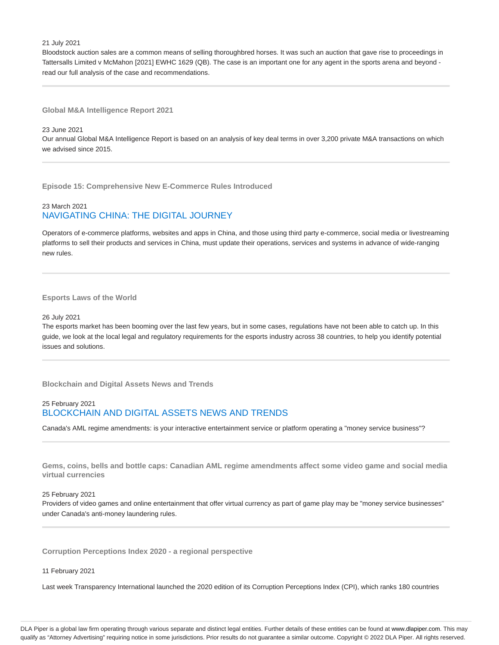#### 21 July 2021

Bloodstock auction sales are a common means of selling thoroughbred horses. It was such an auction that gave rise to proceedings in Tattersalls Limited v McMahon [2021] EWHC 1629 (QB). The case is an important one for any agent in the sports arena and beyond read our full analysis of the case and recommendations.

## **Global M&A Intelligence Report 2021**

## 23 June 2021

Our annual Global M&A Intelligence Report is based on an analysis of key deal terms in over 3,200 private M&A transactions on which we advised since 2015.

**Episode 15: Comprehensive New E-Commerce Rules Introduced**

# 23 March 2021 NAVIGATING CHINA: THE DIGITAL JOURNEY

Operators of e-commerce platforms, websites and apps in China, and those using third party e-commerce, social media or livestreaming platforms to sell their products and services in China, must update their operations, services and systems in advance of wide-ranging new rules.

#### **Esports Laws of the World**

#### 26 July 2021

The esports market has been booming over the last few years, but in some cases, regulations have not been able to catch up. In this guide, we look at the local legal and regulatory requirements for the esports industry across 38 countries, to help you identify potential issues and solutions.

**Blockchain and Digital Assets News and Trends**

# 25 February 2021 BLOCKCHAIN AND DIGITAL ASSETS NEWS AND TRENDS

Canada's AML regime amendments: is your interactive entertainment service or platform operating a "money service business"?

**Gems, coins, bells and bottle caps: Canadian AML regime amendments affect some video game and social media virtual currencies**

#### 25 February 2021

Providers of video games and online entertainment that offer virtual currency as part of game play may be "money service businesses" under Canada's anti-money laundering rules.

**Corruption Perceptions Index 2020 - a regional perspective**

#### 11 February 2021

Last week Transparency International launched the 2020 edition of its Corruption Perceptions Index (CPI), which ranks 180 countries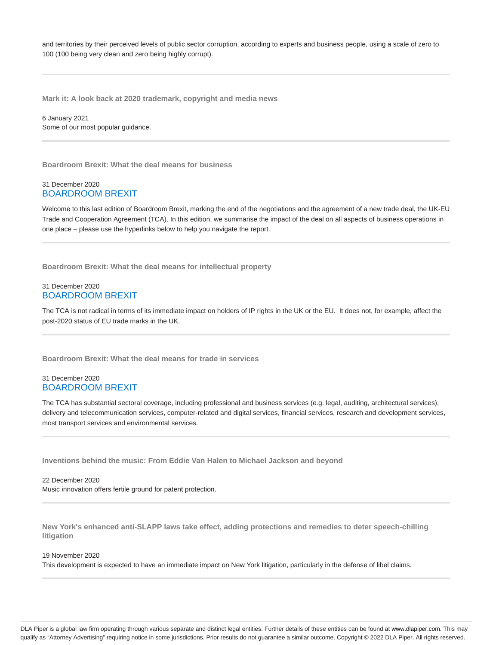and territories by their perceived levels of public sector corruption, according to experts and business people, using a scale of zero to 100 (100 being very clean and zero being highly corrupt).

**Mark it: A look back at 2020 trademark, copyright and media news**

6 January 2021 Some of our most popular guidance.

**Boardroom Brexit: What the deal means for business**

## 31 December 2020 BOARDROOM BREXIT

Welcome to this last edition of Boardroom Brexit, marking the end of the negotiations and the agreement of a new trade deal, the UK-EU Trade and Cooperation Agreement (TCA). In this edition, we summarise the impact of the deal on all aspects of business operations in one place – please use the hyperlinks below to help you navigate the report.

**Boardroom Brexit: What the deal means for intellectual property**

## 31 December 2020 BOARDROOM BREXIT

The TCA is not radical in terms of its immediate impact on holders of IP rights in the UK or the EU. It does not, for example, affect the post-2020 status of EU trade marks in the UK.

**Boardroom Brexit: What the deal means for trade in services**

## 31 December 2020 BOARDROOM BREXIT

The TCA has substantial sectoral coverage, including professional and business services (e.g. legal, auditing, architectural services), delivery and telecommunication services, computer-related and digital services, financial services, research and development services, most transport services and environmental services.

**Inventions behind the music: From Eddie Van Halen to Michael Jackson and beyond**

22 December 2020 Music innovation offers fertile ground for patent protection.

**New York's enhanced anti-SLAPP laws take effect, adding protections and remedies to deter speech-chilling litigation**

#### 19 November 2020

This development is expected to have an immediate impact on New York litigation, particularly in the defense of libel claims.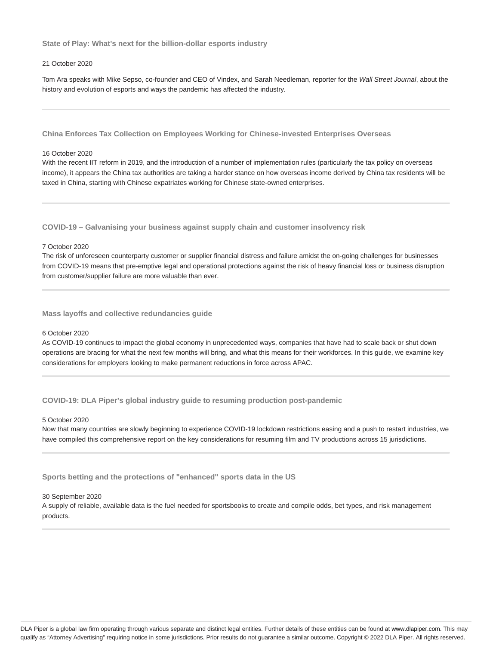**State of Play: What's next for the billion-dollar esports industry**

#### 21 October 2020

Tom Ara speaks with Mike Sepso, co-founder and CEO of Vindex, and Sarah Needleman, reporter for the Wall Street Journal, about the history and evolution of esports and ways the pandemic has affected the industry.

**China Enforces Tax Collection on Employees Working for Chinese-invested Enterprises Overseas**

#### 16 October 2020

With the recent IIT reform in 2019, and the introduction of a number of implementation rules (particularly the tax policy on overseas income), it appears the China tax authorities are taking a harder stance on how overseas income derived by China tax residents will be taxed in China, starting with Chinese expatriates working for Chinese state-owned enterprises.

**COVID-19 – Galvanising your business against supply chain and customer insolvency risk**

#### 7 October 2020

The risk of unforeseen counterparty customer or supplier financial distress and failure amidst the on-going challenges for businesses from COVID-19 means that pre-emptive legal and operational protections against the risk of heavy financial loss or business disruption from customer/supplier failure are more valuable than ever.

**Mass layoffs and collective redundancies guide**

### 6 October 2020

As COVID-19 continues to impact the global economy in unprecedented ways, companies that have had to scale back or shut down operations are bracing for what the next few months will bring, and what this means for their workforces. In this guide, we examine key considerations for employers looking to make permanent reductions in force across APAC.

## **COVID-19: DLA Piper's global industry guide to resuming production post-pandemic**

#### 5 October 2020

Now that many countries are slowly beginning to experience COVID-19 lockdown restrictions easing and a push to restart industries, we have compiled this comprehensive report on the key considerations for resuming film and TV productions across 15 jurisdictions.

**Sports betting and the protections of "enhanced" sports data in the US**

#### 30 September 2020

A supply of reliable, available data is the fuel needed for sportsbooks to create and compile odds, bet types, and risk management products.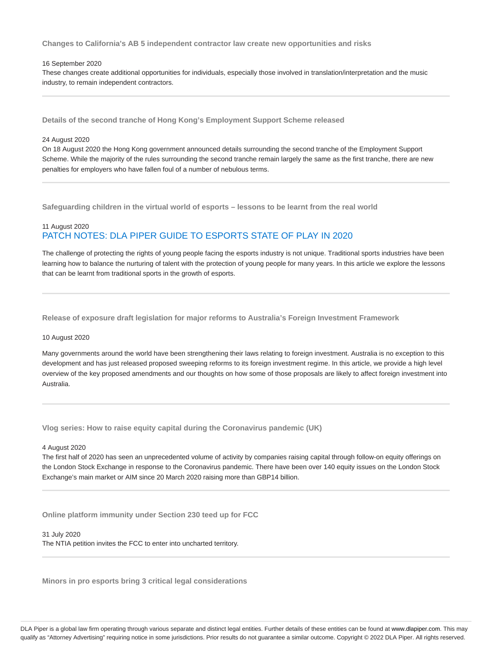**Changes to California's AB 5 independent contractor law create new opportunities and risks**

#### 16 September 2020

These changes create additional opportunities for individuals, especially those involved in translation/interpretation and the music industry, to remain independent contractors.

**Details of the second tranche of Hong Kong's Employment Support Scheme released**

#### 24 August 2020

On 18 August 2020 the Hong Kong government announced details surrounding the second tranche of the Employment Support Scheme. While the majority of the rules surrounding the second tranche remain largely the same as the first tranche, there are new penalties for employers who have fallen foul of a number of nebulous terms.

**Safeguarding children in the virtual world of esports – lessons to be learnt from the real world**

# 11 August 2020 PATCH NOTES: DLA PIPER GUIDE TO ESPORTS STATE OF PLAY IN 2020

The challenge of protecting the rights of young people facing the esports industry is not unique. Traditional sports industries have been learning how to balance the nurturing of talent with the protection of young people for many years. In this article we explore the lessons that can be learnt from traditional sports in the growth of esports.

**Release of exposure draft legislation for major reforms to Australia's Foreign Investment Framework**

#### 10 August 2020

Many governments around the world have been strengthening their laws relating to foreign investment. Australia is no exception to this development and has just released proposed sweeping reforms to its foreign investment regime. In this article, we provide a high level overview of the key proposed amendments and our thoughts on how some of those proposals are likely to affect foreign investment into Australia.

**Vlog series: How to raise equity capital during the Coronavirus pandemic (UK)**

#### 4 August 2020

The first half of 2020 has seen an unprecedented volume of activity by companies raising capital through follow-on equity offerings on the London Stock Exchange in response to the Coronavirus pandemic. There have been over 140 equity issues on the London Stock Exchange's main market or AIM since 20 March 2020 raising more than GBP14 billion.

**Online platform immunity under Section 230 teed up for FCC**

31 July 2020 The NTIA petition invites the FCC to enter into uncharted territory.

**Minors in pro esports bring 3 critical legal considerations**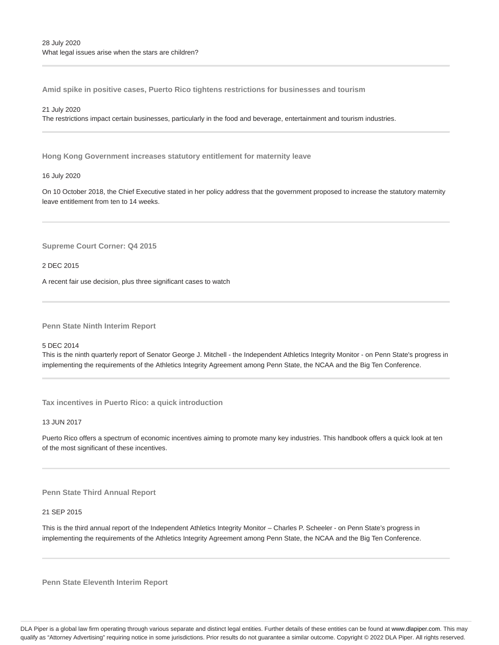**Amid spike in positive cases, Puerto Rico tightens restrictions for businesses and tourism**

#### 21 July 2020

The restrictions impact certain businesses, particularly in the food and beverage, entertainment and tourism industries.

**Hong Kong Government increases statutory entitlement for maternity leave**

#### 16 July 2020

On 10 October 2018, the Chief Executive stated in her policy address that the government proposed to increase the statutory maternity leave entitlement from ten to 14 weeks.

**Supreme Court Corner: Q4 2015**

2 DEC 2015

A recent fair use decision, plus three significant cases to watch

**Penn State Ninth Interim Report**

5 DEC 2014

This is the ninth quarterly report of Senator George J. Mitchell - the Independent Athletics Integrity Monitor - on Penn State's progress in implementing the requirements of the Athletics Integrity Agreement among Penn State, the NCAA and the Big Ten Conference.

**Tax incentives in Puerto Rico: a quick introduction**

13 JUN 2017

Puerto Rico offers a spectrum of economic incentives aiming to promote many key industries. This handbook offers a quick look at ten of the most significant of these incentives.

## **Penn State Third Annual Report**

21 SEP 2015

This is the third annual report of the Independent Athletics Integrity Monitor – Charles P. Scheeler - on Penn State's progress in implementing the requirements of the Athletics Integrity Agreement among Penn State, the NCAA and the Big Ten Conference.

**Penn State Eleventh Interim Report**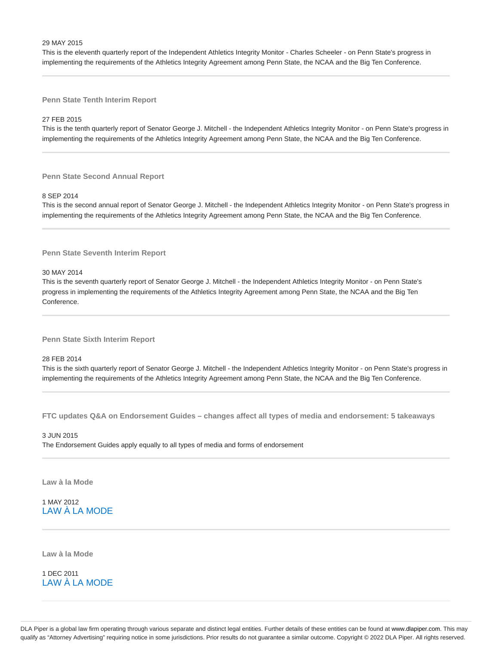#### 29 MAY 2015

This is the eleventh quarterly report of the Independent Athletics Integrity Monitor - Charles Scheeler - on Penn State's progress in implementing the requirements of the Athletics Integrity Agreement among Penn State, the NCAA and the Big Ten Conference.

**Penn State Tenth Interim Report**

#### 27 FEB 2015

This is the tenth quarterly report of Senator George J. Mitchell - the Independent Athletics Integrity Monitor - on Penn State's progress in implementing the requirements of the Athletics Integrity Agreement among Penn State, the NCAA and the Big Ten Conference.

**Penn State Second Annual Report**

#### 8 SEP 2014

This is the second annual report of Senator George J. Mitchell - the Independent Athletics Integrity Monitor - on Penn State's progress in implementing the requirements of the Athletics Integrity Agreement among Penn State, the NCAA and the Big Ten Conference.

**Penn State Seventh Interim Report**

30 MAY 2014

This is the seventh quarterly report of Senator George J. Mitchell - the Independent Athletics Integrity Monitor - on Penn State's progress in implementing the requirements of the Athletics Integrity Agreement among Penn State, the NCAA and the Big Ten Conference.

**Penn State Sixth Interim Report**

28 FEB 2014

This is the sixth quarterly report of Senator George J. Mitchell - the Independent Athletics Integrity Monitor - on Penn State's progress in implementing the requirements of the Athletics Integrity Agreement among Penn State, the NCAA and the Big Ten Conference.

**FTC updates Q&A on Endorsement Guides – changes affect all types of media and endorsement: 5 takeaways**

## 3 JUN 2015 The Endorsement Guides apply equally to all types of media and forms of endorsement

**Law à la Mode**

1 MAY 2012 LAW À LA MODE

**Law à la Mode**

1 DEC 2011 LAW À LA MODE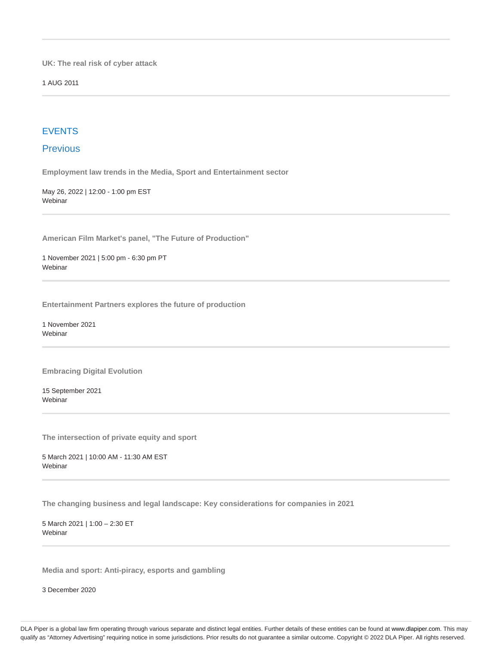**UK: The real risk of cyber attack**

1 AUG 2011

# EVENTS

# **Previous**

**Employment law trends in the Media, Sport and Entertainment sector**

May 26, 2022 | 12:00 - 1:00 pm EST Webinar

**American Film Market's panel, "The Future of Production"**

1 November 2021 | 5:00 pm - 6:30 pm PT Webinar

**Entertainment Partners explores the future of production**

1 November 2021 **Webinar** 

**Embracing Digital Evolution**

15 September 2021 Webinar

**The intersection of private equity and sport**

5 March 2021 | 10:00 AM - 11:30 AM EST Webinar

**The changing business and legal landscape: Key considerations for companies in 2021**

5 March 2021 | 1:00 – 2:30 ET Webinar

**Media and sport: Anti-piracy, esports and gambling**

3 December 2020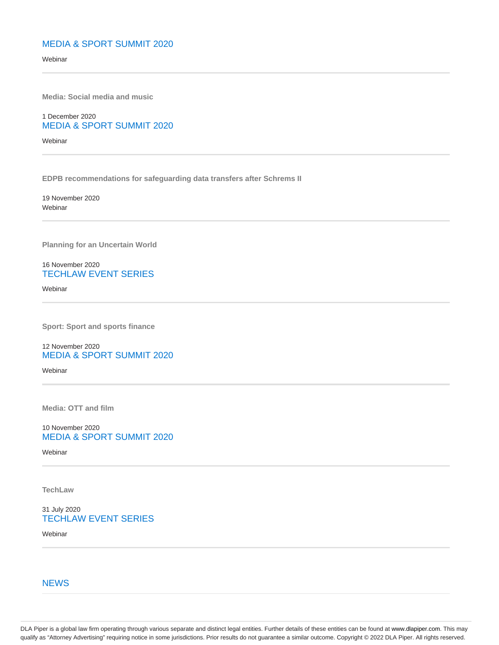# MEDIA & SPORT SUMMIT 2020

Webinar

**Media: Social media and music**

1 December 2020 MEDIA & SPORT SUMMIT 2020

Webinar

**EDPB recommendations for safeguarding data transfers after Schrems II**

19 November 2020 Webinar

**Planning for an Uncertain World**

16 November 2020 TECHLAW EVENT SERIES

Webinar

**Sport: Sport and sports finance**

12 November 2020 MEDIA & SPORT SUMMIT 2020

**Webinar** 

**Media: OTT and film**

10 November 2020 MEDIA & SPORT SUMMIT 2020

Webinar

**TechLaw**

31 July 2020 TECHLAW EVENT SERIES

Webinar

**NEWS**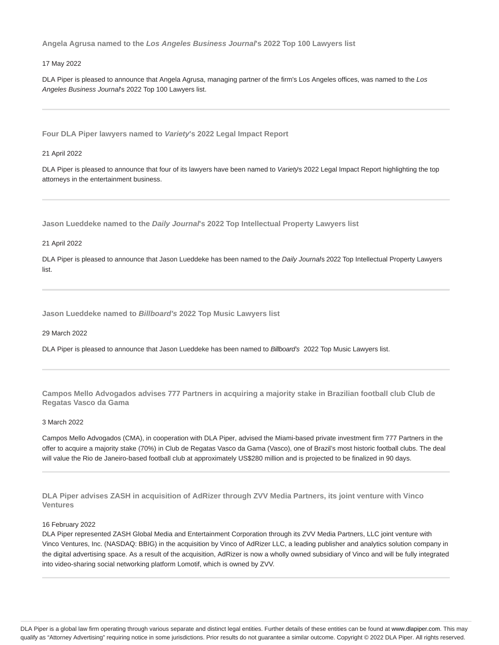**Angela Agrusa named to the Los Angeles Business Journal's 2022 Top 100 Lawyers list**

#### 17 May 2022

DLA Piper is pleased to announce that Angela Agrusa, managing partner of the firm's Los Angeles offices, was named to the Los Angeles Business Journal's 2022 Top 100 Lawyers list.

**Four DLA Piper lawyers named to Variety's 2022 Legal Impact Report**

#### 21 April 2022

DLA Piper is pleased to announce that four of its lawyers have been named to Variety's 2022 Legal Impact Report highlighting the top attorneys in the entertainment business.

**Jason Lueddeke named to the Daily Journal's 2022 Top Intellectual Property Lawyers list**

21 April 2022

DLA Piper is pleased to announce that Jason Lueddeke has been named to the Daily Journals 2022 Top Intellectual Property Lawyers list.

**Jason Lueddeke named to Billboard's 2022 Top Music Lawyers list**

#### 29 March 2022

DLA Piper is pleased to announce that Jason Lueddeke has been named to Billboard's 2022 Top Music Lawyers list.

**Campos Mello Advogados advises 777 Partners in acquiring a majority stake in Brazilian football club Club de Regatas Vasco da Gama**

#### 3 March 2022

Campos Mello Advogados (CMA), in cooperation with DLA Piper, advised the Miami-based private investment firm 777 Partners in the offer to acquire a majority stake (70%) in Club de Regatas Vasco da Gama (Vasco), one of Brazil's most historic football clubs. The deal will value the Rio de Janeiro-based football club at approximately US\$280 million and is projected to be finalized in 90 days.

**DLA Piper advises ZASH in acquisition of AdRizer through ZVV Media Partners, its joint venture with Vinco Ventures**

### 16 February 2022

DLA Piper represented ZASH Global Media and Entertainment Corporation through its ZVV Media Partners, LLC joint venture with Vinco Ventures, Inc. (NASDAQ: BBIG) in the acquisition by Vinco of AdRizer LLC, a leading publisher and analytics solution company in the digital advertising space. As a result of the acquisition, AdRizer is now a wholly owned subsidiary of Vinco and will be fully integrated into video-sharing social networking platform Lomotif, which is owned by ZVV.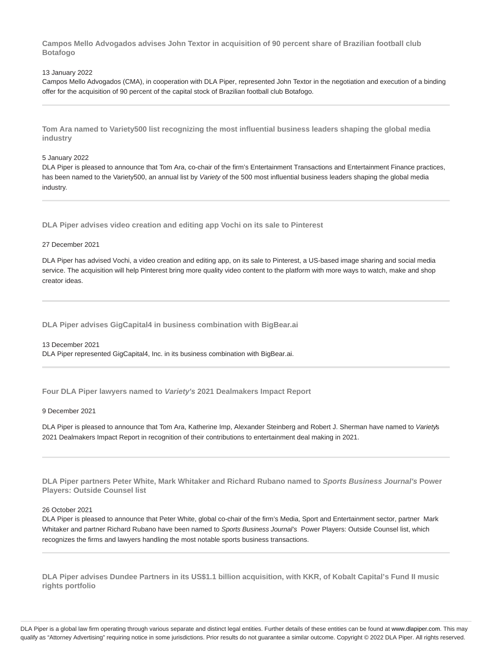**Campos Mello Advogados advises John Textor in acquisition of 90 percent share of Brazilian football club Botafogo**

#### 13 January 2022

Campos Mello Advogados (CMA), in cooperation with DLA Piper, represented John Textor in the negotiation and execution of a binding offer for the acquisition of 90 percent of the capital stock of Brazilian football club Botafogo.

**Tom Ara named to Variety500 list recognizing the most influential business leaders shaping the global media industry**

### 5 January 2022

DLA Piper is pleased to announce that Tom Ara, co-chair of the firm's Entertainment Transactions and Entertainment Finance practices, has been named to the Variety500, an annual list by Variety of the 500 most influential business leaders shaping the global media industry.

**DLA Piper advises video creation and editing app Vochi on its sale to Pinterest**

#### 27 December 2021

DLA Piper has advised Vochi, a video creation and editing app, on its sale to Pinterest, a US-based image sharing and social media service. The acquisition will help Pinterest bring more quality video content to the platform with more ways to watch, make and shop creator ideas.

**DLA Piper advises GigCapital4 in business combination with BigBear.ai**

13 December 2021 DLA Piper represented GigCapital4, Inc. in its business combination with BigBear.ai.

**Four DLA Piper lawyers named to Variety's 2021 Dealmakers Impact Report**

#### 9 December 2021

DLA Piper is pleased to announce that Tom Ara, Katherine Imp, Alexander Steinberg and Robert J. Sherman have named to Variety's 2021 Dealmakers Impact Report in recognition of their contributions to entertainment deal making in 2021.

**DLA Piper partners Peter White, Mark Whitaker and Richard Rubano named to Sports Business Journal's Power Players: Outside Counsel list**

## 26 October 2021

DLA Piper is pleased to announce that Peter White, global co-chair of the firm's Media, Sport and Entertainment sector, partner Mark Whitaker and partner Richard Rubano have been named to Sports Business Journal's Power Players: Outside Counsel list, which recognizes the firms and lawyers handling the most notable sports business transactions.

**DLA Piper advises Dundee Partners in its US\$1.1 billion acquisition, with KKR, of Kobalt Capital's Fund II music rights portfolio**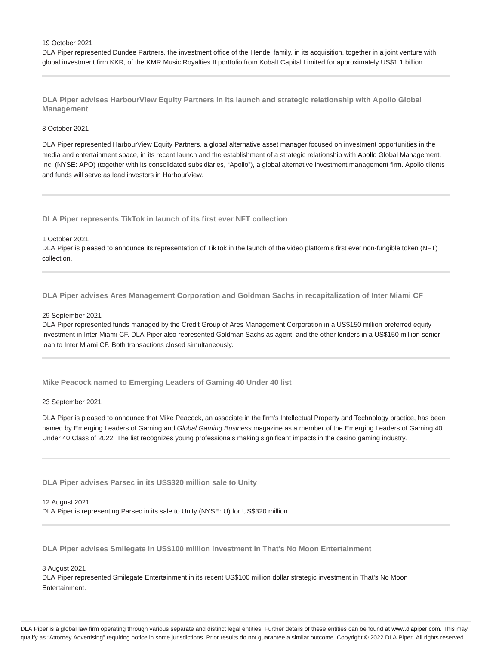#### 19 October 2021

DLA Piper represented Dundee Partners, the investment office of the Hendel family, in its acquisition, together in a joint venture with global investment firm KKR, of the KMR Music Royalties II portfolio from Kobalt Capital Limited for approximately US\$1.1 billion.

**DLA Piper advises HarbourView Equity Partners in its launch and strategic relationship with Apollo Global Management**

#### 8 October 2021

DLA Piper represented HarbourView Equity Partners, a global alternative asset manager focused on investment opportunities in the media and entertainment space, in its recent launch and the establishment of a strategic relationship with Apollo Global Management, Inc. (NYSE: APO) (together with its consolidated subsidiaries, "Apollo"), a global alternative investment management firm. Apollo clients and funds will serve as lead investors in HarbourView.

**DLA Piper represents TikTok in launch of its first ever NFT collection**

#### 1 October 2021

DLA Piper is pleased to announce its representation of TikTok in the launch of the video platform's first ever non-fungible token (NFT) collection.

**DLA Piper advises Ares Management Corporation and Goldman Sachs in recapitalization of Inter Miami CF**

#### 29 September 2021

DLA Piper represented funds managed by the Credit Group of Ares Management Corporation in a US\$150 million preferred equity investment in Inter Miami CF. DLA Piper also represented Goldman Sachs as agent, and the other lenders in a US\$150 million senior loan to Inter Miami CF. Both transactions closed simultaneously.

**Mike Peacock named to Emerging Leaders of Gaming 40 Under 40 list**

#### 23 September 2021

DLA Piper is pleased to announce that Mike Peacock, an associate in the firm's Intellectual Property and Technology practice, has been named by Emerging Leaders of Gaming and Global Gaming Business magazine as a member of the Emerging Leaders of Gaming 40 Under 40 Class of 2022. The list recognizes young professionals making significant impacts in the casino gaming industry.

**DLA Piper advises Parsec in its US\$320 million sale to Unity**

12 August 2021 DLA Piper is representing Parsec in its sale to Unity (NYSE: U) for US\$320 million.

**DLA Piper advises Smilegate in US\$100 million investment in That's No Moon Entertainment**

#### 3 August 2021

DLA Piper represented Smilegate Entertainment in its recent US\$100 million dollar strategic investment in That's No Moon Entertainment.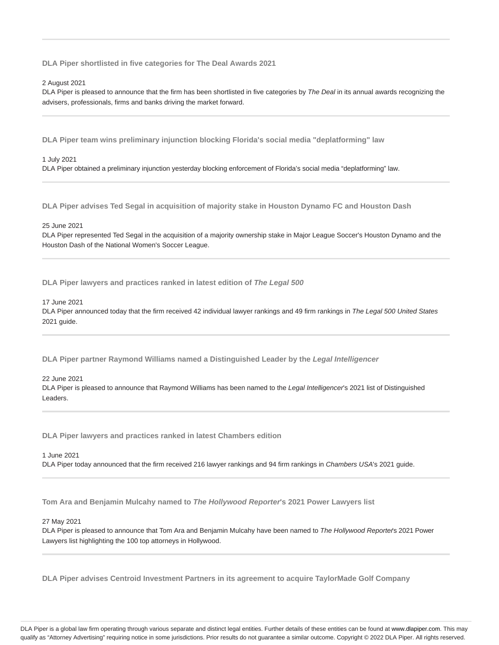**DLA Piper shortlisted in five categories for The Deal Awards 2021**

#### 2 August 2021

DLA Piper is pleased to announce that the firm has been shortlisted in five categories by The Deal in its annual awards recognizing the advisers, professionals, firms and banks driving the market forward.

**DLA Piper team wins preliminary injunction blocking Florida's social media "deplatforming" law**

#### 1 July 2021

DLA Piper obtained a preliminary injunction yesterday blocking enforcement of Florida's social media "deplatforming" law.

**DLA Piper advises Ted Segal in acquisition of majority stake in Houston Dynamo FC and Houston Dash**

#### 25 June 2021

DLA Piper represented Ted Segal in the acquisition of a majority ownership stake in Major League Soccer's Houston Dynamo and the Houston Dash of the National Women's Soccer League.

**DLA Piper lawyers and practices ranked in latest edition of The Legal 500**

## 17 June 2021

DLA Piper announced today that the firm received 42 individual lawyer rankings and 49 firm rankings in The Legal 500 United States 2021 guide.

**DLA Piper partner Raymond Williams named a Distinguished Leader by the Legal Intelligencer**

#### 22 June 2021

DLA Piper is pleased to announce that Raymond Williams has been named to the Legal Intelligencer's 2021 list of Distinguished Leaders.

**DLA Piper lawyers and practices ranked in latest Chambers edition**

## 1 June 2021 DLA Piper today announced that the firm received 216 lawyer rankings and 94 firm rankings in Chambers USA's 2021 quide.

**Tom Ara and Benjamin Mulcahy named to The Hollywood Reporter's 2021 Power Lawyers list**

#### 27 May 2021

DLA Piper is pleased to announce that Tom Ara and Benjamin Mulcahy have been named to The Hollywood Reporter's 2021 Power Lawyers list highlighting the 100 top attorneys in Hollywood.

**DLA Piper advises Centroid Investment Partners in its agreement to acquire TaylorMade Golf Company**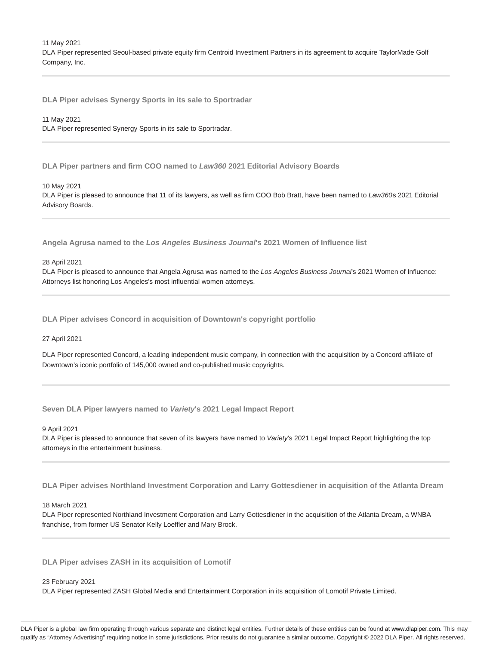11 May 2021

DLA Piper represented Seoul-based private equity firm Centroid Investment Partners in its agreement to acquire TaylorMade Golf Company, Inc.

**DLA Piper advises Synergy Sports in its sale to Sportradar**

#### 11 May 2021

DLA Piper represented Synergy Sports in its sale to Sportradar.

**DLA Piper partners and firm COO named to Law360 2021 Editorial Advisory Boards**

#### 10 May 2021

DLA Piper is pleased to announce that 11 of its lawyers, as well as firm COO Bob Bratt, have been named to Law360s 2021 Editorial Advisory Boards.

**Angela Agrusa named to the Los Angeles Business Journal's 2021 Women of Influence list**

#### 28 April 2021

DLA Piper is pleased to announce that Angela Agrusa was named to the Los Angeles Business Journal's 2021 Women of Influence: Attorneys list honoring Los Angeles's most influential women attorneys.

**DLA Piper advises Concord in acquisition of Downtown's copyright portfolio**

#### 27 April 2021

DLA Piper represented Concord, a leading independent music company, in connection with the acquisition by a Concord affiliate of Downtown's iconic portfolio of 145,000 owned and co-published music copyrights.

**Seven DLA Piper lawyers named to Variety's 2021 Legal Impact Report**

9 April 2021

DLA Piper is pleased to announce that seven of its lawyers have named to Variety's 2021 Legal Impact Report highlighting the top attorneys in the entertainment business.

**DLA Piper advises Northland Investment Corporation and Larry Gottesdiener in acquisition of the Atlanta Dream**

### 18 March 2021

DLA Piper represented Northland Investment Corporation and Larry Gottesdiener in the acquisition of the Atlanta Dream, a WNBA franchise, from former US Senator Kelly Loeffler and Mary Brock.

**DLA Piper advises ZASH in its acquisition of Lomotif**

#### 23 February 2021

DLA Piper represented ZASH Global Media and Entertainment Corporation in its acquisition of Lomotif Private Limited.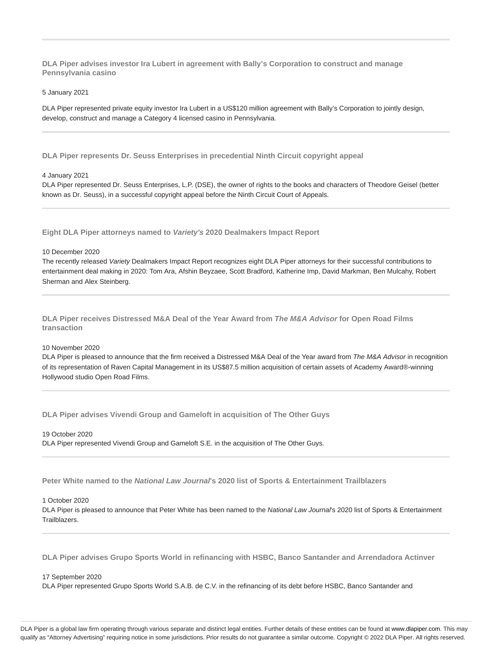**DLA Piper advises investor Ira Lubert in agreement with Bally's Corporation to construct and manage Pennsylvania casino**

5 January 2021

DLA Piper represented private equity investor Ira Lubert in a US\$120 million agreement with Bally's Corporation to jointly design, develop, construct and manage a Category 4 licensed casino in Pennsylvania.

**DLA Piper represents Dr. Seuss Enterprises in precedential Ninth Circuit copyright appeal**

#### 4 January 2021

DLA Piper represented Dr. Seuss Enterprises, L.P. (DSE), the owner of rights to the books and characters of Theodore Geisel (better known as Dr. Seuss), in a successful copyright appeal before the Ninth Circuit Court of Appeals.

**Eight DLA Piper attorneys named to Variety's 2020 Dealmakers Impact Report**

#### 10 December 2020

The recently released Variety Dealmakers Impact Report recognizes eight DLA Piper attorneys for their successful contributions to entertainment deal making in 2020: Tom Ara, Afshin Beyzaee, Scott Bradford, Katherine Imp, David Markman, Ben Mulcahy, Robert Sherman and Alex Steinberg.

**DLA Piper receives Distressed M&A Deal of the Year Award from The M&A Advisor for Open Road Films transaction**

## 10 November 2020

DLA Piper is pleased to announce that the firm received a Distressed M&A Deal of the Year award from The M&A Advisor in recognition of its representation of Raven Capital Management in its US\$87.5 million acquisition of certain assets of Academy Award®-winning Hollywood studio Open Road Films.

**DLA Piper advises Vivendi Group and Gameloft in acquisition of The Other Guys**

19 October 2020 DLA Piper represented Vivendi Group and Gameloft S.E. in the acquisition of The Other Guys.

**Peter White named to the National Law Journal's 2020 list of Sports & Entertainment Trailblazers**

## 1 October 2020

DLA Piper is pleased to announce that Peter White has been named to the National Law Journal's 2020 list of Sports & Entertainment Trailblazers.

**DLA Piper advises Grupo Sports World in refinancing with HSBC, Banco Santander and Arrendadora Actinver**

#### 17 September 2020

DLA Piper represented Grupo Sports World S.A.B. de C.V. in the refinancing of its debt before HSBC, Banco Santander and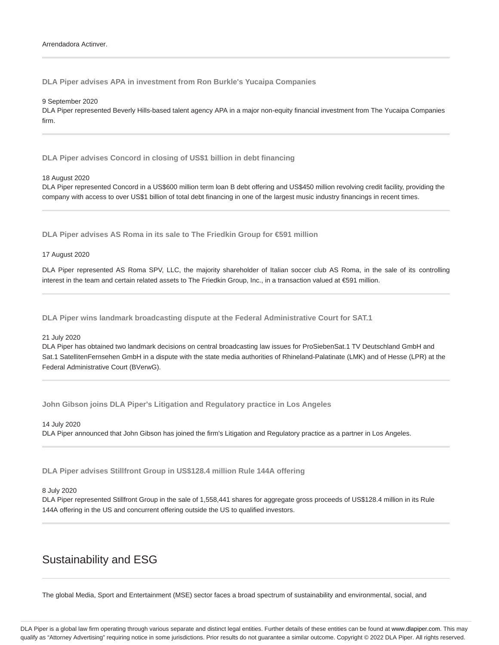**DLA Piper advises APA in investment from Ron Burkle's Yucaipa Companies**

9 September 2020

DLA Piper represented Beverly Hills-based talent agency APA in a major non-equity financial investment from The Yucaipa Companies firm.

**DLA Piper advises Concord in closing of US\$1 billion in debt financing**

18 August 2020

DLA Piper represented Concord in a US\$600 million term loan B debt offering and US\$450 million revolving credit facility, providing the company with access to over US\$1 billion of total debt financing in one of the largest music industry financings in recent times.

**DLA Piper advises AS Roma in its sale to The Friedkin Group for €591 million**

17 August 2020

DLA Piper represented AS Roma SPV, LLC, the majority shareholder of Italian soccer club AS Roma, in the sale of its controlling interest in the team and certain related assets to The Friedkin Group, Inc., in a transaction valued at €591 million.

**DLA Piper wins landmark broadcasting dispute at the Federal Administrative Court for SAT.1**

#### 21 July 2020

DLA Piper has obtained two landmark decisions on central broadcasting law issues for ProSiebenSat.1 TV Deutschland GmbH and Sat.1 SatellitenFernsehen GmbH in a dispute with the state media authorities of Rhineland-Palatinate (LMK) and of Hesse (LPR) at the Federal Administrative Court (BVerwG).

**John Gibson joins DLA Piper's Litigation and Regulatory practice in Los Angeles**

14 July 2020 DLA Piper announced that John Gibson has joined the firm's Litigation and Regulatory practice as a partner in Los Angeles.

**DLA Piper advises Stillfront Group in US\$128.4 million Rule 144A offering**

#### 8 July 2020

DLA Piper represented Stillfront Group in the sale of 1,558,441 shares for aggregate gross proceeds of US\$128.4 million in its Rule 144A offering in the US and concurrent offering outside the US to qualified investors.

# Sustainability and ESG

The global Media, Sport and Entertainment (MSE) sector faces a broad spectrum of sustainability and environmental, social, and